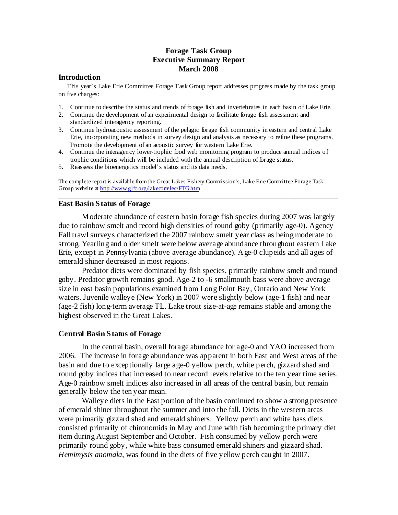# **Forage Task Group Executive Summary Report March 2008**

#### **Introduction**

This year's Lake Erie Committee Forage Task Group report addresses progress made by the task group on five charges:

- 1. Continue to describe the status and trends of forage fish and invertebrates in each basin of Lake Erie.
- 2. Continue the development of an experimental design to facilitate forage fish assessment and standardized interagency reporting.
- 3. Continue hydroacoustic assessment of the pelagic forage fish community in eastern and central Lake Erie, incorporating new methods in survey design and analysis as necessary to refine these programs. Promote the development of an acoustic survey for western Lake Erie.
- 4. Continue the interagency lower-trophic food web monitoring program to produce annual indices of trophic conditions which will be included with the annual description of forage status.
- 5. Reassess the bioenergetics model's status and its data needs.

The complete report is available fromthe Great Lakes Fishery Commission's, Lake Erie Committee Forage Task Group website at http://www.glfc.org/lakecom/lec/FTG.htm

\_\_\_\_\_\_\_\_\_\_\_\_\_\_\_\_\_\_\_\_\_\_\_\_\_\_\_\_\_\_\_\_\_\_\_\_\_\_\_\_\_\_\_\_\_\_\_\_\_\_\_\_\_\_\_\_\_\_\_\_\_\_\_\_\_\_\_\_\_\_\_\_\_\_\_\_\_\_\_\_\_\_\_\_\_\_

## **East Basin Status of Forage**

Moderate abundance of eastern basin forage fish species during 2007 was largely due to rainbow smelt and record high densities of round goby (primarily age-0). Agency Fall trawl surveys characterized the 2007 rainbow smelt year class as being moderate to strong. Yearling and older smelt were below average abundance throughout eastern Lake Erie, except in Pennsylvania (above average abundance). Age-0 clupeids and all ages of emerald shiner decreased in most regions.

Predator diets were dominated by fish species, primarily rainbow smelt and round goby. Predator growth remains good. Age-2 to -6 smallmouth bass were above average size in east basin populations examined from Long Point Bay, Ontario and New York waters. Juvenile walleye (New York) in 2007 were slightly below (age-1 fish) and near (age-2 fish) long-term average TL. Lake trout size-at-age remains stable and among the highest observed in the Great Lakes.

#### **Central Basin Status of Forage**

In the central basin, overall forage abundance for age-0 and YAO increased from 2006. The increase in forage abundance was apparent in both East and West areas of the basin and due to exceptionally large age-0 yellow perch, white perch, gizzard shad and round goby indices that increased to near record levels relative to the ten year time series. Age-0 rainbow smelt indices also increased in all areas of the central basin, but remain generally below the ten year mean.

Walleye diets in the East portion of the basin continued to show a strong presence of emerald shiner throughout the summer and into the fall. Diets in the western areas were primarily gizzard shad and emerald shiners. Yellow perch and white bass diets consisted primarily of chironomids in May and June with fish becoming the primary diet item during August September and October. Fish consumed by yellow perch were primarily round goby, while white bass consumed emerald shiners and gizzard shad. *Hemimysis anomala*, was found in the diets of five yellow perch caught in 2007.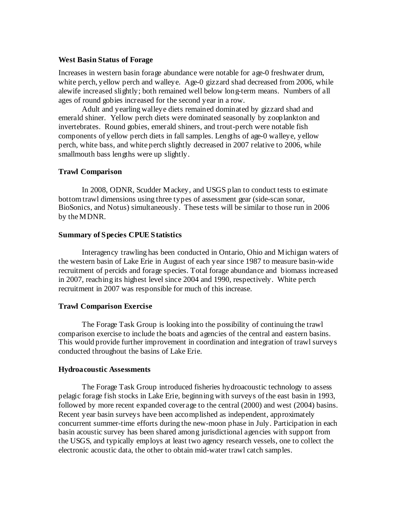#### **West Basin Status of Forage**

Increases in western basin forage abundance were notable for age-0 freshwater drum, white perch, yellow perch and walleye. Age-0 gizzard shad decreased from 2006, while alewife increased slightly; both remained well below long-term means. Numbers of all ages of round gobies increased for the second year in a row.

Adult and yearling walleye diets remained dominated by gizzard shad and emerald shiner. Yellow perch diets were dominated seasonally by zooplankton and invertebrates. Round gobies, emerald shiners, and trout-perch were notable fish components of yellow perch diets in fall samples. Lengths of age-0 walleye, yellow perch, white bass, and white perch slightly decreased in 2007 relative to 2006, while smallmouth bass lengths were up slightly.

### **Trawl Comparison**

In 2008, ODNR, Scudder Mackey, and USGS plan to conduct tests to estimate bottom trawl dimensions using three types of assessment gear (side-scan sonar, BioSonics, and Notus) simultaneously. These tests will be similar to those run in 2006 by the MDNR.

### **Summary of Species CPUE Statistics**

Interagency trawling has been conducted in Ontario, Ohio and Michigan waters of the western basin of Lake Erie in August of each year since 1987 to measure basin-wide recruitment of percids and forage species. Total forage abundance and biomass increased in 2007, reaching its highest level since 2004 and 1990, respectively. White perch recruitment in 2007 was responsible for much of this increase.

### **Trawl Comparison Exercise**

The Forage Task Group is looking into the possibility of continuing the trawl comparison exercise to include the boats and agencies of the central and eastern basins. This would provide further improvement in coordination and integration of trawl surveys conducted throughout the basins of Lake Erie.

### **Hydroacoustic Assessments**

The Forage Task Group introduced fisheries hydroacoustic technology to assess pelagic forage fish stocks in Lake Erie, beginning with surveys of the east basin in 1993, followed by more recent expanded coverage to the central (2000) and west (2004) basins. Recent year basin surveys have been accomplished as independent, approximately concurrent summer-time efforts during the new-moon phase in July. Participation in each basin acoustic survey has been shared among jurisdictional agencies with support from the USGS, and typically employs at least two agency research vessels, one to collect the electronic acoustic data, the other to obtain mid-water trawl catch samples.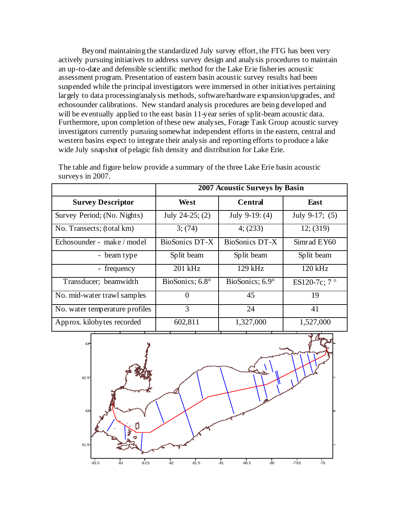Beyond maintaining the standardized July survey effort, the FTG has been very actively pursuing initiatives to address survey design and analysis procedures to maintain an up-to-date and defensible scientific method for the Lake Erie fisheries acoustic assessment program. Presentation of eastern basin acoustic survey results had been suspended while the principal investigators were immersed in other initiatives pertaining largely to data processing/analysis methods, software/hardware expansion/upgrades, and echosounder calibrations. New standard analysis procedures are being developed and will be eventually applied to the east basin 11-year series of split-beam acoustic data. Furthermore, upon completion of these new analyses, Forage Task Group acoustic survey investigators currently pursuing somewhat independent efforts in the eastern, central and western basins expect to integrate their analysis and reporting efforts to produce a lake wide July snapshot of pelagic fish density and distribution for Lake Erie.

|                                | 2007 Acoustic Surveys by Basin |                  |                       |
|--------------------------------|--------------------------------|------------------|-----------------------|
| <b>Survey Descriptor</b>       | West                           | <b>Central</b>   | East                  |
| Survey Period; (No. Nights)    | July 24-25; $(2)$              | July $9-19: (4)$ | July 9-17; $(5)$      |
| No. Transects; (total km)      | 3(74)                          | 4(233)           | 12; (319)             |
| Echosounder - make / model     | BioSonics DT-X                 | BioSonics DT-X   | Simrad EY60           |
| - beam type                    | Split beam                     | Split beam       | Split beam            |
| frequency                      | $201$ kHz                      | $129$ kHz        | $120$ kHz             |
| Transducer; beamwidth          | BioSonics; 6.8°                | BioSonics; 6.9°  | ES120-7c; $7^{\circ}$ |
| No. mid-water trawl samples    | 0                              | 45               | 19                    |
| No. water temperature profiles | 3                              | 24               | 41                    |
| Approx. kilobytes recorded     | 602,811                        | 1,327,000        | 1,527,000             |

The table and figure below provide a summary of the three Lake Erie basin acoustic surveys in 2007.